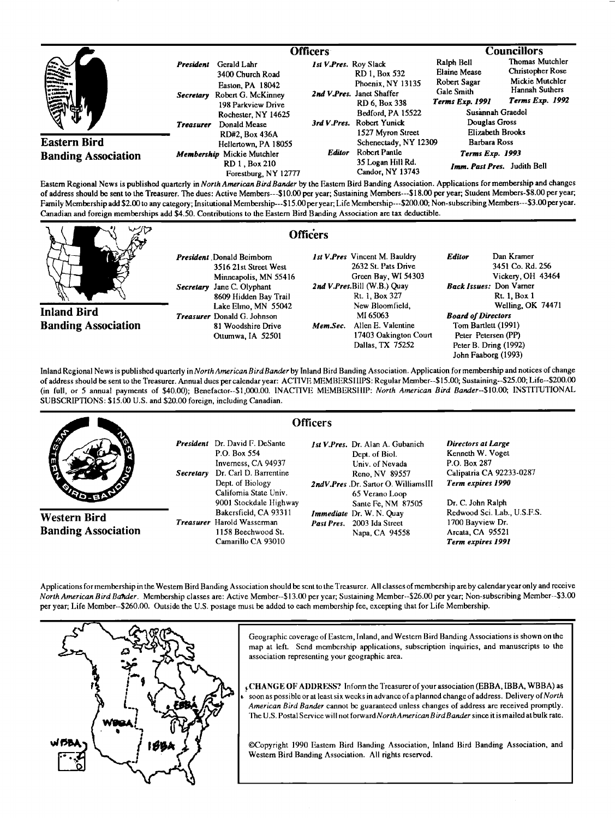|                                                   |                                                   | <b>Officers</b>                                                                                                                        |                       |                                                                                                                                    | <b>Councillors</b>                                                                                                                                        |                                                                                             |
|---------------------------------------------------|---------------------------------------------------|----------------------------------------------------------------------------------------------------------------------------------------|-----------------------|------------------------------------------------------------------------------------------------------------------------------------|-----------------------------------------------------------------------------------------------------------------------------------------------------------|---------------------------------------------------------------------------------------------|
| <b>SANA</b>                                       | President<br><b>Secretary</b><br><b>Treasurer</b> | Gerald Lahr<br>3400 Church Road<br>Easton, PA 18042<br>Robert G. McKinney<br>198 Parkview Drive<br>Rochester, NY 14625<br>Donald Mease | Ist V.Pres. Roy Slack | RD 1, Box 532<br>Phoenix, NY 13135<br>2nd V.Pres. Janet Shaffer<br>RD 6, Box 338<br>Bedford, PA 15522<br>3rd V.Pres. Robert Yunick | Ralph Bell<br><b>Elaine Mease</b><br>Robert Sagar<br>Gale Smith<br><b>Terms Exp. 1991</b><br>Susannah Graedel<br>Douglas Gross<br><b>Elizabeth Brooks</b> | Thomas Mutchler<br>Christopher Rose<br>Mickie Mutchler<br>Hannah Suthers<br>Terms Exp. 1992 |
| <b>Eastern Bird</b><br><b>Banding Association</b> |                                                   | RD#2, Box 436A<br>Hellertown, PA 18055<br>Membership Mickie Mutchler<br>RD 1. Box 210<br>Forestburg, NY 12777                          | <b>Editor</b>         | 1527 Myron Street<br>Schenectady, NY 12309<br>Robert Pantle<br>35 Logan Hill Rd.<br>Candor, NY 13743                               | <b>Barbara Ross</b><br>Terms Exp. 1993<br>Imm. Past Pres. Judith Bell                                                                                     |                                                                                             |

**Eastem Regional News is published quarterly in North American Bird Bander by the Eastem Bird Banding Association. Applications for membership and changes of address should be sent to the Treasurer. The dues: Active Members---S10.00 per year; Sustaining Members---\$18.00 per year; Student Members-S8.00 per year;**  Family Membership add \$2.00 to any category; Insitutional Membership---\$15.00 per year; Life Membership---\$200.00; Non-subscribing Members---\$3.00 per year. Canadian and foreign memberships add \$4.50. Contributions to the Eastern Bird Banding Association are tax deductible.

|                                                  | <b>Officers</b>                                                                                                                                                                                                                                   |                                                                                                                                                                                                                                            |                                                                                                                                                                                                                                                                        |
|--------------------------------------------------|---------------------------------------------------------------------------------------------------------------------------------------------------------------------------------------------------------------------------------------------------|--------------------------------------------------------------------------------------------------------------------------------------------------------------------------------------------------------------------------------------------|------------------------------------------------------------------------------------------------------------------------------------------------------------------------------------------------------------------------------------------------------------------------|
| <b>Inland Bird</b><br><b>Banding Association</b> | <b>President</b> Donald Beimborn<br>3516 21st Street West<br>Minneapolis, MN 55416<br>Secretary Jane C. Olyphant<br>8609 Hidden Bay Trail<br>Lake Elmo, MN 55042<br><b>Treasurer</b> Donald G. Johnson<br>81 Woodshire Drive<br>Ottumwa, IA 52501 | 1st V.Pres Vincent M. Bauldry<br>2632 St. Pats Drive<br>Green Bay, WI 54303<br>2nd V.Pres.Bill (W.B.) Quay<br>Rt. 1, Box 327<br>New Bloomfield,<br>MI 65063<br>Allen E. Valentine<br>Mem.Sec.<br>17403 Oakington Court<br>Dallas, TX 75252 | Dan Kramer<br><b>Editor</b><br>3451 Co. Rd. 256<br>Vickery, OH 43464<br><b>Back Issues:</b> Don Varner<br>Rt. 1, Box 1<br>Welling, OK 74471<br><b>Board of Directors</b><br>Tom Bartlett (1991)<br>Peter Petersen (PP)<br>Peter B. Dring (1992)<br>John Faaborg (1993) |
|                                                  |                                                                                                                                                                                                                                                   |                                                                                                                                                                                                                                            |                                                                                                                                                                                                                                                                        |

Inland Regional News is published quarterly in North American Bird Bander by Inland Bird Banding Association. Application for membership and notices of change **of address should be sent to the Treasurer. Annual dues per calendar year: ACTIVE MEMBERS I lIPS: Regular Member--\$15.00; Sustaining--S25.00; Life--S200.00**  (in full, or 5 annual payments of \$40.00); Benefactor--\$1,000.00. INACTIVE MEMBERSHIP: North American Bird Bander--\$10.00; INSTITUTIONAL **SUBSCRIPTIONS: \$15.00 U.S. and \$20.00 foreign, including Canadian.** 

|                                                   |                               |                                                                                                                                    | <b>Officers</b> |                                                                                                                                                         |                                                                                                               |
|---------------------------------------------------|-------------------------------|------------------------------------------------------------------------------------------------------------------------------------|-----------------|---------------------------------------------------------------------------------------------------------------------------------------------------------|---------------------------------------------------------------------------------------------------------------|
| <b>ANDRO</b><br>40.3                              | President<br><b>Secretary</b> | Dr. David F. DeSante<br>P.O. Box 554<br>Inverness, CA 94937<br>Dr. Carl D. Barrentine<br>Dept. of Biology<br>Califomia State Univ. |                 | <i>Ist V.Pres.</i> Dr. Alan A. Gubanich<br>Dept. of Biol.<br>Univ. of Nevada<br>Reno. NV 89557<br>2ndV.Pres.Dr. Sartor O. WilliamsIII<br>65 Verano Loop | Directors at Large<br>Kenneth W. Voget<br>P.O. Box 287<br>Calipatria CA 92233-0287<br>Term expires 1990       |
| <b>Western Bird</b><br><b>Banding Association</b> |                               | 9001 Stockdale Highway<br>Bakersfield, CA 93311<br><b>Treasurer</b> Harold Wasserman<br>1158 Beechwood St.<br>Camarillo CA 93010   |                 | Sante Fe, NM 87505<br><b>Immediate</b> Dr. W. N. Quay<br>Past Pres. 2003 Ida Street<br>Napa, CA 94558                                                   | Dr. C. John Ralph<br>Redwood Sci. Lab., U.S.F.S.<br>1700 Bayview Dr.<br>Arcata, CA 95521<br>Term expires 1991 |

**Applications for membership in the Western Bird Banding Association should be sent to the Treasurer. All classes ofmembership are by calendar year only and receive North American Bird Bander. Membership classes are: Active Member--\$13.00 per year; Sustaining Member--S26.00 per year; Non-subscribing Member--S3.00 per year; Life Member--S260.00. Outside the U.S. postage must be added to each membership fee, excepting that for Life Membership.** 



Geographic coverage of Eastern, Inland, and Western Bird Banding Associations is shown on the map at left. Send membership applications, subscription inquiries, and manuscripts to the **association representing your geographic area.** 

**.CHANGE OF ADDRESS?** Inform the Treasurer of your association (EBBA, IBBA, WBBA) as **soon as possible or at least six weeks in advance of aplanned change of address. Delivery of North American Bird Bander cannot be guaranteed unless changes of address are received promptly.**  The U.S. Postal Service will not forward North American Bird Bander since it is mailed at bulk rate.

**•Copyright 1990 Eastem Bird Banding Association, Inland Bird Banding Association, and Western Bird Banding Association. All rights reserved.**